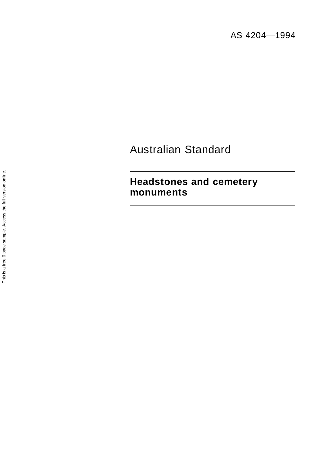AS 4204—1994

# Australian Standard

# **Headstones and cemetery monuments**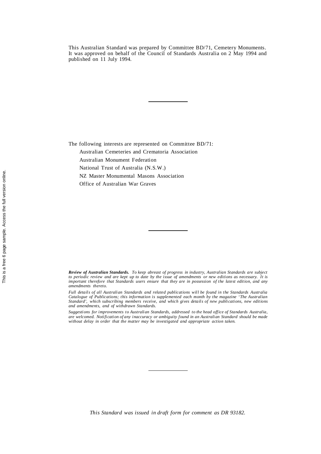This Australian Standard was prepared by Committee BD/71, Cemetery Monuments. It was approved on behalf of the Council of Standards Australia on 2 May 1994 and published on 11 July 1994.

The following interests are represented on Committee BD/71:

Australian Cemeteries and Crematoria Association

Australian Monument Federation

National Trust of Australia (N.S.W.)

NZ Master Monumental Masons Association

Office of Australian War Graves

*Review of Australian Standards. To keep abreast of progress in industry, Australian Standards are subject to periodic review and are kept up to date by the issue of amendments or new editions as necessary. It is important therefore that Standards users ensure that they are in possession of the latest edition, and any amendments thereto.*

*Full details of all Australian Standards and related publications will be found in the Standards Australia Catalogue of Publications; this information is supplemented each month by the magazine 'The Australian Standard', which subscribing members receive, and which gives details of new publications, new editions and amendments, and of withdrawn Standards.*

*Suggestions for improvements to Australian Standards, addressed to the head office of Standards Australia, are welcomed. Notification of any inaccuracy or ambiguity found in an Australian Standard should be made without delay in order that the matter may be investigated and appropriate action taken.*

*This Standard was issued in draft form for comment as DR 93182.*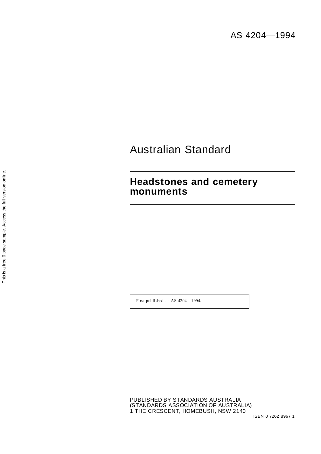# Australian Standard

# **Headstones and cemetery monuments**

First published as AS 4204—1994.

This is a free 6 page sample. Access the full version online. This is a free 6 page sample. Access the full version online.

> PUBLISHED BY STANDARDS AUSTRALIA (STANDARDS ASSOCIATION OF AUSTRALIA) 1 THE CRESCENT, HOMEBUSH, NSW 2140

ISBN 0 7262 8967 1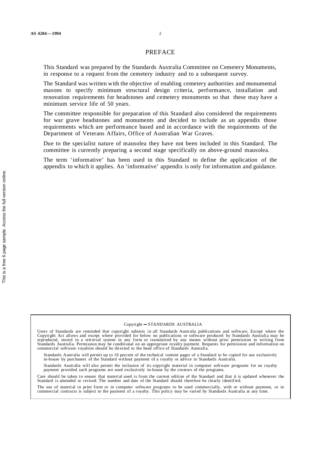#### PREFACE

This Standard was prepared by the Standards Australia Committee on Cemetery Monuments, in response to a request from the cemetery industry and to a subsequent survey.

The Standard was written with the objective of enabling cemetery authorities and monumental masons to specify minimum structural design criteria, performance, installation and renovation requirements for headstones and cemetery monuments so that these may have a minimum service life of 50 years.

The committee responsible for preparation of this Standard also considered the requirements for war grave headstones and monuments and decided to include as an appendix those requirements which are performance based and in accordance with the requirements of the Department of Veterans Affairs, Office of Australian War Graves.

Due to the specialist nature of mausolea they have not been included in this Standard. The committee is currently preparing a second stage specifically on above-ground mausolea.

The term 'informative' has been used in this Standard to define the application of the appendix to which it applies. An 'informative' appendix is only for information and guidance.

Standards Australia will also permit the inclusion of its copyright material in computer software programs for no royalty payment provided such programs are used exclusively in-house by the creators of the programs.

Care should be taken to ensure that material used is from the current edition of the Standard and that it is updated whenever the Standard is amended or revised. The number and date of the Standard should therefore be clearly identified.

The use of material in print form or in computer software programs to be used commercially, with or without payment, or in commercial contracts is subject to the payment of a royalty. This policy may be varied by Standards Australia at any time.

 $©$  Copyright  $-STANDARDS$  AUSTRALIA

Users of Standards are reminded that copyright subsists in all Standards Australia publications and software. Except where the Copyright Act allows and except where provided for below no publications or software produced by Standards Australia may be reproduced, stored in a retrieval system in any form or transmitted by any means without prior permission in writing from Standards Australia. Permission may be conditional on an appropriate royalty payment. Requests for permission and information on commercial software royalties should be directed to the head office of Standards Australia.

Standards Australia will permit up to 10 percent of the technical content pages of a Standard to be copied for use exclusively in-house by purchasers of the Standard without payment of a royalty or advice to Standards Australia.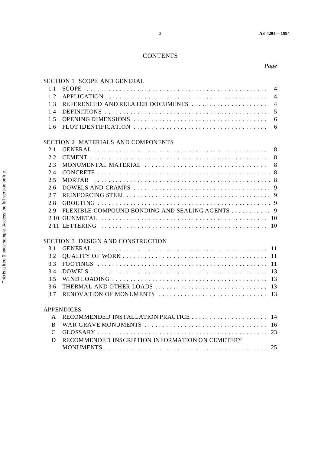## **CONTENTS**

|--|

### SECTION 1 SCOPE AND GENERAL

| 1.1                                |                                                 | $\overline{4}$ |  |
|------------------------------------|-------------------------------------------------|----------------|--|
| 1.2                                |                                                 | $\overline{4}$ |  |
| 1.3                                | REFERENCED AND RELATED DOCUMENTS                | $\overline{4}$ |  |
| 1.4                                |                                                 | 5              |  |
| 1.5                                |                                                 | 6              |  |
| 1.6                                |                                                 |                |  |
| SECTION 2 MATERIALS AND COMPONENTS |                                                 |                |  |
| 2.1                                |                                                 |                |  |
| 2.2                                |                                                 |                |  |
| 2.3                                |                                                 |                |  |
| 2.4                                |                                                 |                |  |
| 2.5                                |                                                 |                |  |
| 2.6                                |                                                 |                |  |
| 2.7                                |                                                 |                |  |
| 2.8                                |                                                 |                |  |
| 2.9                                |                                                 |                |  |
|                                    |                                                 |                |  |
|                                    |                                                 |                |  |
| SECTION 3 DESIGN AND CONSTRUCTION  |                                                 |                |  |
| 3.1                                |                                                 |                |  |
| 3.2                                |                                                 |                |  |
| 3.3                                |                                                 |                |  |
| 3.4                                |                                                 |                |  |
| 3.5                                |                                                 |                |  |
| 3.6                                |                                                 |                |  |
| 3.7                                |                                                 |                |  |
|                                    | <b>APPENDICES</b>                               |                |  |
| A                                  |                                                 |                |  |
| <sub>B</sub>                       |                                                 |                |  |
| $\mathsf{C}$                       |                                                 |                |  |
| D                                  | RECOMMENDED INSCRIPTION INFORMATION ON CEMETERY |                |  |
|                                    |                                                 |                |  |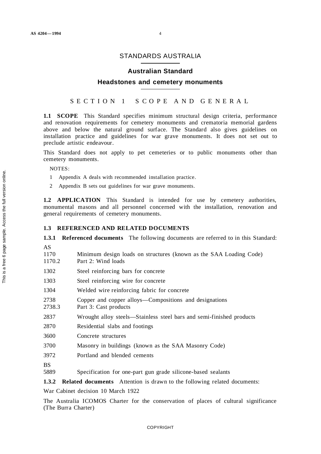### STANDARDS AUSTRALIA

#### **Australian Standard**

#### **Headstones and cemetery monuments**

### SECTION 1 S COPE AND GE NERAL

**1.1 SCOPE** This Standard specifies minimum structural design criteria, performance and renovation requirements for cemetery monuments and crematoria memorial gardens above and below the natural ground surface. The Standard also gives guidelines on installation practice and guidelines for war grave monuments. It does not set out to preclude artistic endeavour.

This Standard does not apply to pet cemeteries or to public monuments other than cemetery monuments.

NOTES:

- 1 Appendix A deals with recommended installation practice.
- 2 Appendix B sets out guidelines for war grave monuments.

**1.2 APPLICATION** This Standard is intended for use by cemetery authorities, monumental masons and all personnel concerned with the installation, renovation and general requirements of cemetery monuments.

#### **1.3 REFERENCED AND RELATED DOCUMENTS**

**1.3.1 Referenced documents** The following documents are referred to in this Standard:

- AS
- 1170 Minimum design loads on structures (known as the SAA Loading Code)
- 1170.2 Part 2: Wind loads
- 1302 Steel reinforcing bars for concrete
- 1303 Steel reinforcing wire for concrete
- 1304 Welded wire reinforcing fabric for concrete
- 2738 Copper and copper alloys—Compositions and designations
- 2738.3 Part 3: Cast products
- 2837 Wrought alloy steels—Stainless steel bars and semi-finished products
- 2870 Residential slabs and footings
- 3600 Concrete structures
- 3700 Masonry in buildings (known as the SAA Masonry Code)
- 3972 Portland and blended cements
- **BS**
- 5889 Specification for one-part gun grade silicone-based sealants

**1.3.2 Related documents** Attention is drawn to the following related documents:

War Cabinet decision 10 March 1922

The Australia ICOMOS Charter for the conservation of places of cultural significance (The Burra Charter)